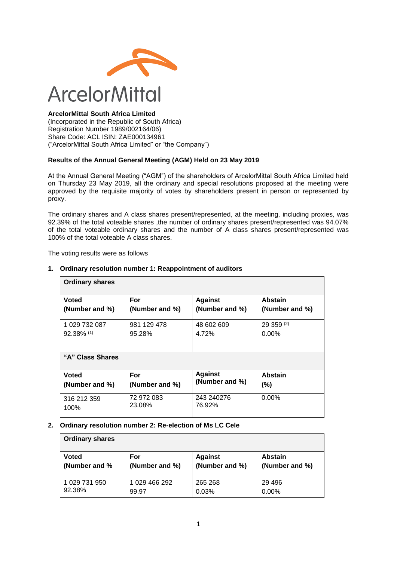

#### **ArcelorMittal South Africa Limited**

(Incorporated in the Republic of South Africa) Registration Number 1989/002164/06) Share Code: ACL ISIN: ZAE000134961 ("ArcelorMittal South Africa Limited" or "the Company")

#### **Results of the Annual General Meeting (AGM) Held on 23 May 2019**

At the Annual General Meeting ("AGM") of the shareholders of ArcelorMittal South Africa Limited held on Thursday 23 May 2019, all the ordinary and special resolutions proposed at the meeting were approved by the requisite majority of votes by shareholders present in person or represented by proxy.

The ordinary shares and A class shares present/represented, at the meeting, including proxies, was 92.39% of the total voteable shares ,the number of ordinary shares present/represented was 94.07% of the total voteable ordinary shares and the number of A class shares present/represented was 100% of the total voteable A class shares.

The voting results were as follows

| <b>Ordinary shares</b> |                |                |                |  |
|------------------------|----------------|----------------|----------------|--|
| Voted                  | For            | <b>Against</b> | <b>Abstain</b> |  |
| (Number and %)         | (Number and %) | (Number and %) | (Number and %) |  |
| 1 029 732 087          | 981 129 478    | 48 602 609     | 29 359 (2)     |  |
| $92.38\%$ (1)          | 95.28%         | 4.72%          | $0.00\%$       |  |
| "A" Class Shares       |                |                |                |  |
| <b>Voted</b>           | For            | <b>Against</b> | <b>Abstain</b> |  |
| (Number and %)         | (Number and %) | (Number and %) | (%)            |  |
| 316 212 359            | 72 972 083     | 243 240276     | 0.00%          |  |
| 100%                   | 23.08%         | 76.92%         |                |  |

#### **1. Ordinary resolution number 1: Reappointment of auditors**

#### **2. Ordinary resolution number 2: Re-election of Ms LC Cele**

| <b>Ordinary shares</b> |                |                |                |
|------------------------|----------------|----------------|----------------|
| <b>Voted</b>           | For            | <b>Against</b> | <b>Abstain</b> |
| (Number and %)         | (Number and %) | (Number and %) | (Number and %) |
| 1 029 731 950          | 1 029 466 292  | 265 268        | 29 4 9 6       |
| 92.38%                 | 99.97          | 0.03%          | 0.00%          |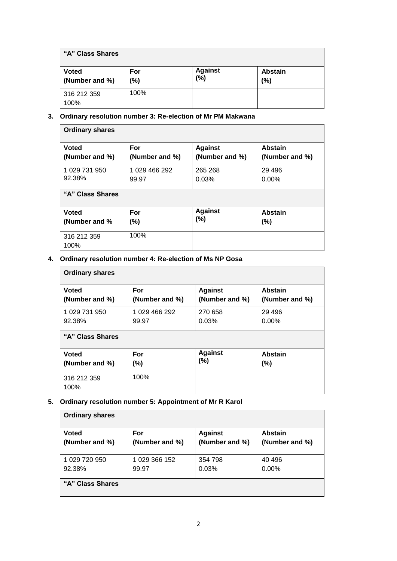| "A" Class Shares               |            |                       |                |  |
|--------------------------------|------------|-----------------------|----------------|--|
| <b>Voted</b><br>(Number and %) | For<br>(%) | <b>Against</b><br>(%) | Abstain<br>(%) |  |
| 316 212 359<br>100%            | 100%       |                       |                |  |

#### **3. Ordinary resolution number 3: Re-election of Mr PM Makwana**

| <b>Ordinary shares</b> |                |                |                |  |
|------------------------|----------------|----------------|----------------|--|
| <b>Voted</b>           | For            | <b>Against</b> | <b>Abstain</b> |  |
| (Number and %)         | (Number and %) | (Number and %) | (Number and %) |  |
| 1 029 731 950          | 1 029 466 292  | 265 268        | 29 4 9 6       |  |
| 92.38%                 | 99.97          | 0.03%          | $0.00\%$       |  |
| "A" Class Shares       |                |                |                |  |
| <b>Voted</b>           | For            | <b>Against</b> | <b>Abstain</b> |  |
| (Number and %          | (%)            | $(\%)$         | (%)            |  |
| 316 212 359<br>100%    | 100%           |                |                |  |

## **4. Ordinary resolution number 4: Re-election of Ms NP Gosa**

| <b>Ordinary shares</b> |                |                |                |  |
|------------------------|----------------|----------------|----------------|--|
| <b>Voted</b>           | For            | <b>Against</b> | <b>Abstain</b> |  |
| (Number and %)         | (Number and %) | (Number and %) | (Number and %) |  |
| 1 029 731 950          | 1 029 466 292  | 270 658        | 29 4 9 6       |  |
| 92.38%                 | 99.97          | 0.03%          | $0.00\%$       |  |
| "A" Class Shares       |                |                |                |  |
| <b>Voted</b>           | For            | <b>Against</b> | <b>Abstain</b> |  |
| (Number and %)         | (%)            | (%)            | $(\% )$        |  |
| 316 212 359<br>100%    | 100%           |                |                |  |

# **5. Ordinary resolution number 5: Appointment of Mr R Karol**

| <b>Ordinary shares</b> |                |                |                |
|------------------------|----------------|----------------|----------------|
| <b>Voted</b>           | For            | <b>Against</b> | <b>Abstain</b> |
| (Number and %)         | (Number and %) | (Number and %) | (Number and %) |
| 1 029 720 950          | 1 029 366 152  | 354 798        | 40 496         |
| 92.38%                 | 99.97          | 0.03%          | $0.00\%$       |
| "A" Class Shares       |                |                |                |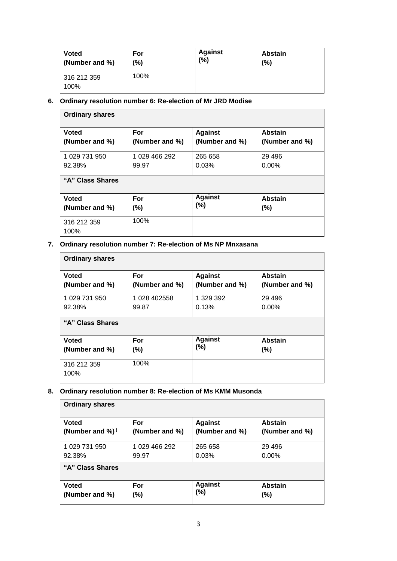| <b>Voted</b>        | For  | <b>Against</b> | <b>Abstain</b> |
|---------------------|------|----------------|----------------|
| (Number and %)      | (%)  | (%)            | (%)            |
| 316 212 359<br>100% | 100% |                |                |

# **6. Ordinary resolution number 6: Re-election of Mr JRD Modise**

| <b>Ordinary shares</b> |                |                |                |  |
|------------------------|----------------|----------------|----------------|--|
| <b>Voted</b>           | For            | <b>Against</b> | <b>Abstain</b> |  |
| (Number and %)         | (Number and %) | (Number and %) | (Number and %) |  |
| 1 029 731 950          | 1 029 466 292  | 265 658        | 29 4 9 6       |  |
| 92.38%                 | 99.97          | 0.03%          | $0.00\%$       |  |
| "A" Class Shares       |                |                |                |  |
| <b>Voted</b>           | For            | <b>Against</b> | <b>Abstain</b> |  |
| (Number and %)         | (%)            | (%)            | (%)            |  |
| 316 212 359<br>100%    | 100%           |                |                |  |

# **7. Ordinary resolution number 7: Re-election of Ms NP Mnxasana**

| <b>Ordinary shares</b> |                |                |                |  |
|------------------------|----------------|----------------|----------------|--|
| <b>Voted</b>           | For            | <b>Against</b> | <b>Abstain</b> |  |
| (Number and %)         | (Number and %) | (Number and %) | (Number and %) |  |
| 1 029 731 950          | 1 028 402558   | 1 329 392      | 29 4 9 6       |  |
| 92.38%                 | 99.87          | 0.13%          | $0.00\%$       |  |
| "A" Class Shares       |                |                |                |  |
| <b>Voted</b>           | For            | <b>Against</b> | <b>Abstain</b> |  |
| (Number and %)         | $(\%)$         | (%)            | (%)            |  |
| 316 212 359<br>100%    | 100%           |                |                |  |

# **8. Ordinary resolution number 8: Re-election of Ms KMM Musonda**

| <b>Ordinary shares</b> |                |                |                |  |
|------------------------|----------------|----------------|----------------|--|
| <b>Voted</b>           | For            | <b>Against</b> | <b>Abstain</b> |  |
| (Number and $\%)$ )    | (Number and %) | (Number and %) | (Number and %) |  |
| 1 029 731 950          | 1 029 466 292  | 265 658        | 29 4 9 6       |  |
| 92.38%                 | 99.97          | 0.03%          | $0.00\%$       |  |
| "A" Class Shares       |                |                |                |  |
| <b>Voted</b>           | For            | <b>Against</b> | <b>Abstain</b> |  |
| (Number and %)         | (%)            | (%)            | (%)            |  |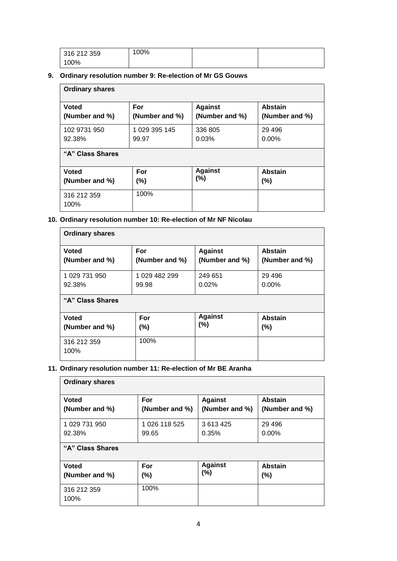| 316 212 359 | 100% |  |
|-------------|------|--|
| 100%        |      |  |

#### **9. Ordinary resolution number 9: Re-election of Mr GS Gouws**

| <b>Ordinary shares</b> |                |                |                |  |
|------------------------|----------------|----------------|----------------|--|
| <b>Voted</b>           | For            | <b>Against</b> | <b>Abstain</b> |  |
| (Number and %)         | (Number and %) | (Number and %) | (Number and %) |  |
| 102 9731 950           | 1 029 395 145  | 336 805        | 29 4 9 6       |  |
| 92.38%                 | 99.97          | 0.03%          | $0.00\%$       |  |
| "A" Class Shares       |                |                |                |  |
| <b>Voted</b>           | For            | <b>Against</b> | <b>Abstain</b> |  |
| (Number and %)         | (%)            | $(\%)$         | (%)            |  |
| 316 212 359<br>100%    | 100%           |                |                |  |

#### **10. Ordinary resolution number 10: Re-election of Mr NF Nicolau**

| <b>Ordinary shares</b> |                |                |                |  |
|------------------------|----------------|----------------|----------------|--|
| <b>Voted</b>           | For            | <b>Against</b> | <b>Abstain</b> |  |
| (Number and %)         | (Number and %) | (Number and %) | (Number and %) |  |
| 1 029 731 950          | 1 029 482 299  | 249 651        | 29 4 9 6       |  |
| 92.38%                 | 99.98          | 0.02%          | $0.00\%$       |  |
| "A" Class Shares       |                |                |                |  |
| <b>Voted</b>           | For            | <b>Against</b> | <b>Abstain</b> |  |
| (Number and %)         | (%)            | (%)            | (%)            |  |
| 316 212 359<br>100%    | 100%           |                |                |  |

## **11. Ordinary resolution number 11: Re-election of Mr BE Aranha**

| <b>Ordinary shares</b> |                |                |                |  |
|------------------------|----------------|----------------|----------------|--|
| <b>Voted</b>           | For            | <b>Against</b> | <b>Abstain</b> |  |
| (Number and %)         | (Number and %) | (Number and %) | (Number and %) |  |
| 1 029 731 950          | 1 026 118 525  | 3613425        | 29 4 9 6       |  |
| 92.38%                 | 99.65          | 0.35%          | $0.00\%$       |  |
| "A" Class Shares       |                |                |                |  |
| <b>Voted</b>           | For            | <b>Against</b> | <b>Abstain</b> |  |
| (Number and %)         | $(\%)$         | (%)            | $(\%)$         |  |
| 316 212 359<br>100%    | 100%           |                |                |  |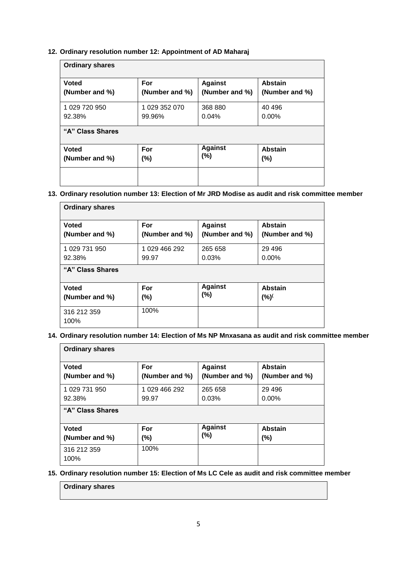#### **12. Ordinary resolution number 12: Appointment of AD Maharaj**

| <b>Ordinary shares</b> |                |                |                |  |
|------------------------|----------------|----------------|----------------|--|
| <b>Voted</b>           | For            | <b>Against</b> | Abstain        |  |
| (Number and %)         | (Number and %) | (Number and %) | (Number and %) |  |
| 1 029 720 950          | 1 029 352 070  | 368 880        | 40 49 6        |  |
| 92.38%                 | 99.96%         | 0.04%          | $0.00\%$       |  |
| "A" Class Shares       |                |                |                |  |
| <b>Voted</b>           | For            | <b>Against</b> | <b>Abstain</b> |  |
| (Number and %)         | (%)            | (%)            | (%)            |  |
|                        |                |                |                |  |

#### **13. Ordinary resolution number 13: Election of Mr JRD Modise as audit and risk committee member**

| <b>Ordinary shares</b> |                |                |                |  |
|------------------------|----------------|----------------|----------------|--|
| <b>Voted</b>           | For            | <b>Against</b> | <b>Abstain</b> |  |
| (Number and %)         | (Number and %) | (Number and %) | (Number and %) |  |
| 1 029 731 950          | 1 029 466 292  | 265 658        | 29 4 9 6       |  |
| 92.38%                 | 99.97          | 0.03%          | $0.00\%$       |  |
| "A" Class Shares       |                |                |                |  |
| <b>Voted</b>           | For            | <b>Against</b> | Abstain        |  |
| (Number and %)         | (%)            | (%)            | (%)            |  |
| 316 212 359<br>100%    | 100%           |                |                |  |

#### **14. Ordinary resolution number 14: Election of Ms NP Mnxasana as audit and risk committee member**

| <b>Ordinary shares</b> |                |                |                |  |
|------------------------|----------------|----------------|----------------|--|
| <b>Voted</b>           | For            | <b>Against</b> | <b>Abstain</b> |  |
| (Number and %)         | (Number and %) | (Number and %) | (Number and %) |  |
| 1 029 731 950          | 1 029 466 292  | 265 658        | 29 4 9 6       |  |
| 92.38%                 | 99.97          | 0.03%          | $0.00\%$       |  |
| "A" Class Shares       |                |                |                |  |
| <b>Voted</b>           | For            | <b>Against</b> | <b>Abstain</b> |  |
| (Number and %)         | (%)            | (%)            | (%)            |  |
| 316 212 359<br>100%    | 100%           |                |                |  |

#### **15. Ordinary resolution number 15: Election of Ms LC Cele as audit and risk committee member**

# **Ordinary shares**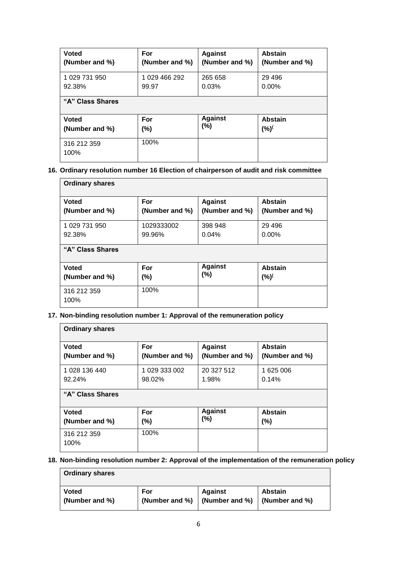| <b>Voted</b>        | For            | <b>Against</b> | <b>Abstain</b> |
|---------------------|----------------|----------------|----------------|
| (Number and %)      | (Number and %) | (Number and %) | (Number and %) |
| 1 029 731 950       | 1 029 466 292  | 265 658        | 29 4 9 6       |
| 92.38%              | 99.97          | 0.03%          | $0.00\%$       |
| "A" Class Shares    |                |                |                |
| <b>Voted</b>        | For            | <b>Against</b> | <b>Abstain</b> |
| (Number and %)      | $(\%)$         | (%)            | (%)            |
| 316 212 359<br>100% | 100%           |                |                |

#### **16. Ordinary resolution number 16 Election of chairperson of audit and risk committee**

| <b>Ordinary shares</b> |                |                |                |  |
|------------------------|----------------|----------------|----------------|--|
| <b>Voted</b>           | For            | <b>Against</b> | <b>Abstain</b> |  |
| (Number and %)         | (Number and %) | (Number and %) | (Number and %) |  |
| 1 029 731 950          | 1029333002     | 398 948        | 29 4 9 6       |  |
| 92.38%                 | 99.96%         | 0.04%          | $0.00\%$       |  |
| "A" Class Shares       |                |                |                |  |
| <b>Voted</b>           | For            | <b>Against</b> | <b>Abstain</b> |  |
| (Number and %)         | (%)            | $(\%)$         | (%)            |  |
| 316 212 359<br>100%    | 100%           |                |                |  |

## **17. Non-binding resolution number 1: Approval of the remuneration policy**

| <b>Ordinary shares</b> |                |                |                |  |
|------------------------|----------------|----------------|----------------|--|
| <b>Voted</b>           | For            | <b>Against</b> | <b>Abstain</b> |  |
| (Number and %)         | (Number and %) | (Number and %) | (Number and %) |  |
| 1 028 136 440          | 1 029 333 002  | 20 327 512     | 1 625 006      |  |
| 92.24%                 | 98.02%         | 1.98%          | 0.14%          |  |
| "A" Class Shares       |                |                |                |  |
| <b>Voted</b>           | For            | <b>Against</b> | <b>Abstain</b> |  |
| (Number and %)         | $(\%)$         | $(\%)$         | $(\% )$        |  |
| 316 212 359<br>100%    | 100%           |                |                |  |

## **18. Non-binding resolution number 2: Approval of the implementation of the remuneration policy**

| <b>Ordinary shares</b> |                |                                |                |
|------------------------|----------------|--------------------------------|----------------|
| <b>Voted</b>           | For            | <b>Against</b>                 | <b>Abstain</b> |
| (Number and %)         | (Number and %) | $\vert$ (Number and %) $\vert$ | (Number and %) |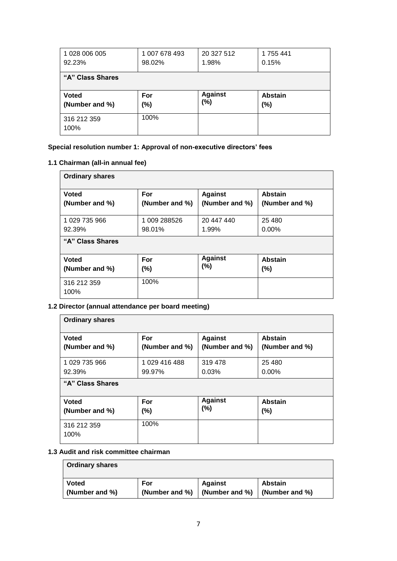| 1 028 006 005<br>92.23% | 1 007 678 493<br>98.02% | 20 327 512<br>1.98% | 1755441<br>0.15% |  |  |
|-------------------------|-------------------------|---------------------|------------------|--|--|
| "A" Class Shares        |                         |                     |                  |  |  |
| <b>Voted</b>            | For                     | <b>Against</b>      | <b>Abstain</b>   |  |  |
| (Number and %)          | (%)                     | (%)                 | $(\%)$           |  |  |

#### **Special resolution number 1: Approval of non-executive directors' fees**

#### **1.1 Chairman (all-in annual fee)**

| <b>Ordinary shares</b> |                |                |                |  |
|------------------------|----------------|----------------|----------------|--|
| <b>Voted</b>           | For            | <b>Against</b> | <b>Abstain</b> |  |
| (Number and %)         | (Number and %) | (Number and %) | (Number and %) |  |
| 1 029 735 966          | 1 009 288526   | 20 447 440     | 25 4 8 0       |  |
| 92.39%                 | 98.01%         | 1.99%          | $0.00\%$       |  |
| "A" Class Shares       |                |                |                |  |
| <b>Voted</b>           | For            | <b>Against</b> | <b>Abstain</b> |  |
| (Number and %)         | $(\%)$         | $(\% )$        | (%)            |  |
| 316 212 359<br>100%    | 100%           |                |                |  |

## **1.2 Director (annual attendance per board meeting)**

| <b>Ordinary shares</b> |                |                |                |  |
|------------------------|----------------|----------------|----------------|--|
| <b>Voted</b>           | For            | <b>Against</b> | Abstain        |  |
| (Number and %)         | (Number and %) | (Number and %) | (Number and %) |  |
| 1 029 735 966          | 1029 416 488   | 319 478        | 25 4 8 0       |  |
| 92.39%                 | 99.97%         | 0.03%          | $0.00\%$       |  |
| "A" Class Shares       |                |                |                |  |
| <b>Voted</b>           | For            | <b>Against</b> | <b>Abstain</b> |  |
| (Number and %)         | (%)            | (%)            | (%)            |  |
| 316 212 359<br>100%    | 100%           |                |                |  |

## **1.3 Audit and risk committee chairman**

| <b>Ordinary shares</b> |                |                |                |
|------------------------|----------------|----------------|----------------|
| <b>Voted</b>           | For            | <b>Against</b> | <b>Abstain</b> |
| (Number and %)         | (Number and %) | (Number and %) | (Number and %) |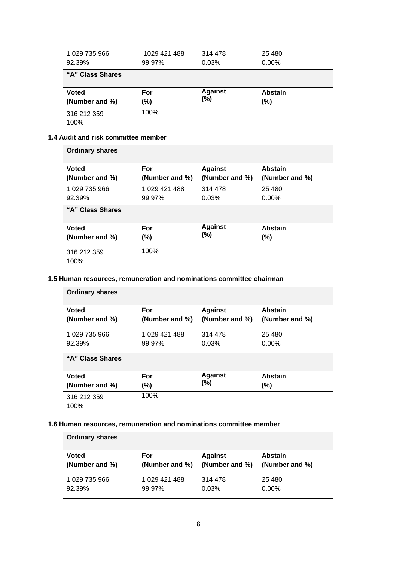| 1 029 735 966    | 1029 421 488 | 314 478        | 25 4 80        |
|------------------|--------------|----------------|----------------|
| 92.39%           | 99.97%       | 0.03%          | $0.00\%$       |
| "A" Class Shares |              |                |                |
|                  |              |                |                |
| <b>Voted</b>     | For          | <b>Against</b> | <b>Abstain</b> |
| (Number and %)   | $(\%)$       | (%)            | (%)            |

#### **1.4 Audit and risk committee member**

| <b>Ordinary shares</b> |                |                |                |  |
|------------------------|----------------|----------------|----------------|--|
| <b>Voted</b>           | For            | <b>Against</b> | Abstain        |  |
| (Number and %)         | (Number and %) | (Number and %) | (Number and %) |  |
| 1 029 735 966          | 1 029 421 488  | 314 478        | 25 4 8 0       |  |
| 92.39%                 | 99.97%         | 0.03%          | $0.00\%$       |  |
| "A" Class Shares       |                |                |                |  |
| <b>Voted</b>           | For            | <b>Against</b> | <b>Abstain</b> |  |
| (Number and %)         | $(\%)$         | (%)            | $(\% )$        |  |
| 316 212 359<br>100%    | 100%           |                |                |  |

#### **1.5 Human resources, remuneration and nominations committee chairman**

| <b>Ordinary shares</b> |                |                |                |  |  |
|------------------------|----------------|----------------|----------------|--|--|
| <b>Voted</b>           | For            | <b>Against</b> | <b>Abstain</b> |  |  |
| (Number and %)         | (Number and %) | (Number and %) | (Number and %) |  |  |
| 1 029 735 966          | 1 029 421 488  | 314 478        | 25 4 8 0       |  |  |
| 92.39%                 | 99.97%         | 0.03%          | $0.00\%$       |  |  |
| "A" Class Shares       |                |                |                |  |  |
| <b>Voted</b>           | For            | <b>Against</b> | <b>Abstain</b> |  |  |
| (Number and %)         | $(\%)$         | (%)            | $(\% )$        |  |  |
| 316 212 359<br>100%    | 100%           |                |                |  |  |

#### **1.6 Human resources, remuneration and nominations committee member**

| <b>Ordinary shares</b> |                |                |                |
|------------------------|----------------|----------------|----------------|
| <b>Voted</b>           | For            | <b>Against</b> | <b>Abstain</b> |
| (Number and %)         | (Number and %) | (Number and %) | (Number and %) |
| 1 029 735 966          | 1 029 421 488  | 314 478        | 25 4 80        |
| 92.39%                 | 99.97%         | 0.03%          | $0.00\%$       |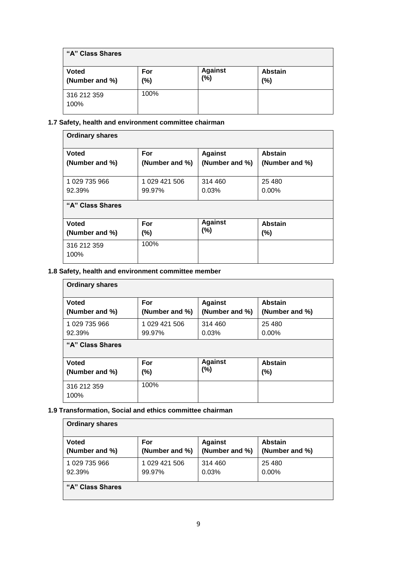| "A" Class Shares               |               |                       |                       |
|--------------------------------|---------------|-----------------------|-----------------------|
| <b>Voted</b><br>(Number and %) | For<br>$(\%)$ | <b>Against</b><br>(%) | <b>Abstain</b><br>(%) |
| 316 212 359<br>100%            | 100%          |                       |                       |

#### **1.7 Safety, health and environment committee chairman**

| <b>Ordinary shares</b> |                |                |                |  |  |  |
|------------------------|----------------|----------------|----------------|--|--|--|
| <b>Voted</b>           | For            | <b>Against</b> | <b>Abstain</b> |  |  |  |
| (Number and %)         | (Number and %) | (Number and %) | (Number and %) |  |  |  |
| 1 029 735 966          | 1 029 421 506  | 314 460        | 25 4 8 0       |  |  |  |
| 92.39%                 | 99.97%         | 0.03%          | $0.00\%$       |  |  |  |
| "A" Class Shares       |                |                |                |  |  |  |
| <b>Voted</b>           | For            | <b>Against</b> | Abstain        |  |  |  |
| (Number and %)         | $(\%)$         | (%)            | $(\% )$        |  |  |  |
| 316 212 359<br>100%    | 100%           |                |                |  |  |  |

#### **1.8 Safety, health and environment committee member**

| <b>Ordinary shares</b> |                |                |                |
|------------------------|----------------|----------------|----------------|
| <b>Voted</b>           | For            | <b>Against</b> | <b>Abstain</b> |
| (Number and %)         | (Number and %) | (Number and %) | (Number and %) |
| 1 029 735 966          | 1 029 421 506  | 314 460        | 25 4 8 0       |
| 92.39%                 | 99.97%         | 0.03%          | $0.00\%$       |
| "A" Class Shares       |                |                |                |
| <b>Voted</b>           | For            | <b>Against</b> | <b>Abstain</b> |
| (Number and %)         | (%)            | (%)            | (%)            |
| 316 212 359<br>100%    | 100%           |                |                |

#### **1.9 Transformation, Social and ethics committee chairman**

| <b>Ordinary shares</b> |                |                |                |  |
|------------------------|----------------|----------------|----------------|--|
| <b>Voted</b>           | For            | <b>Against</b> | <b>Abstain</b> |  |
| (Number and %)         | (Number and %) | (Number and %) | (Number and %) |  |
| 1 029 735 966          | 1 029 421 506  | 314 460        | 25 4 80        |  |
| 92.39%                 | 99.97%         | 0.03%          | $0.00\%$       |  |
| "A" Class Shares       |                |                |                |  |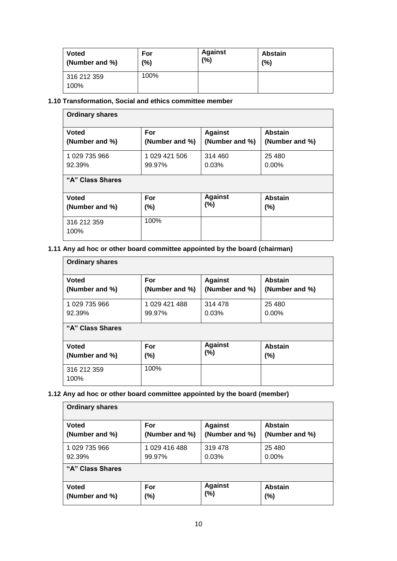| <b>Voted</b>        | For  | <b>Against</b> | <b>Abstain</b> |
|---------------------|------|----------------|----------------|
| (Number and %)      | (%)  | (%)            | (%)            |
| 316 212 359<br>100% | 100% |                |                |

## **1.10 Transformation, Social and ethics committee member**

| <b>Ordinary shares</b> |                |                |                |
|------------------------|----------------|----------------|----------------|
| <b>Voted</b>           | For            | <b>Against</b> | <b>Abstain</b> |
| (Number and %)         | (Number and %) | (Number and %) | (Number and %) |
| 1 029 735 966          | 1 029 421 506  | 314 460        | 25 4 8 0       |
| 92.39%                 | 99.97%         | 0.03%          | $0.00\%$       |
| "A" Class Shares       |                |                |                |
| <b>Voted</b>           | For            | <b>Against</b> | <b>Abstain</b> |
| (Number and %)         | $(\% )$        | (%)            | (%)            |
| 316 212 359<br>100%    | 100%           |                |                |

## **1.11 Any ad hoc or other board committee appointed by the board (chairman)**

| <b>Ordinary shares</b> |                |                |                |  |  |
|------------------------|----------------|----------------|----------------|--|--|
| <b>Voted</b>           | For            | <b>Against</b> | <b>Abstain</b> |  |  |
| (Number and %)         | (Number and %) | (Number and %) | (Number and %) |  |  |
| 1 029 735 966          | 1 029 421 488  | 314 478        | 25 4 80        |  |  |
| 92.39%                 | 99.97%         | 0.03%          | $0.00\%$       |  |  |
| "A" Class Shares       |                |                |                |  |  |
| <b>Voted</b>           | For            | <b>Against</b> | <b>Abstain</b> |  |  |
| (Number and %)         | (%)            | (%)            | (%)            |  |  |
| 316 212 359<br>100%    | 100%           |                |                |  |  |

## **1.12 Any ad hoc or other board committee appointed by the board (member)**

| <b>Ordinary shares</b> |                |                |                |  |
|------------------------|----------------|----------------|----------------|--|
| <b>Voted</b>           | For            | <b>Against</b> | <b>Abstain</b> |  |
| (Number and %)         | (Number and %) | (Number and %) | (Number and %) |  |
| 1 029 735 966          | 1029 416 488   | 319 478        | 25 4 8 0       |  |
| 92.39%                 | 99.97%         | 0.03%          | $0.00\%$       |  |
| "A" Class Shares       |                |                |                |  |
| <b>Voted</b>           | For            | <b>Against</b> | <b>Abstain</b> |  |
| (Number and %)         | $(\%)$         | $(\%)$         | $(\% )$        |  |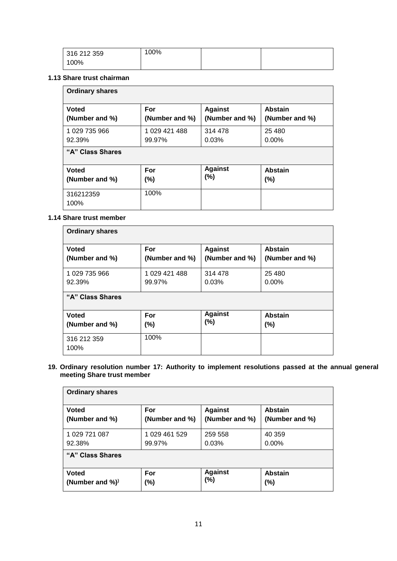| 316 212 359 | 100% |  |
|-------------|------|--|
| 100%        |      |  |

#### **1.13 Share trust chairman**

| <b>Ordinary shares</b> |                |                |                |  |
|------------------------|----------------|----------------|----------------|--|
| <b>Voted</b>           | For            | <b>Against</b> | <b>Abstain</b> |  |
| (Number and %)         | (Number and %) | (Number and %) | (Number and %) |  |
| 1 029 735 966          | 1 029 421 488  | 314 478        | 25 4 8 0       |  |
| 92.39%                 | 99.97%         | 0.03%          | $0.00\%$       |  |
| "A" Class Shares       |                |                |                |  |
| <b>Voted</b>           | For            | <b>Against</b> | <b>Abstain</b> |  |
| (Number and %)         | $(\% )$        | $(\%)$         | $(\% )$        |  |
| 316212359<br>100%      | 100%           |                |                |  |

#### **1.14 Share trust member**

| <b>Ordinary shares</b> |                |                |                |
|------------------------|----------------|----------------|----------------|
| <b>Voted</b>           | For            | <b>Against</b> | <b>Abstain</b> |
| (Number and %)         | (Number and %) | (Number and %) | (Number and %) |
| 1 029 735 966          | 1 029 421 488  | 314 478        | 25 4 8 0       |
| 92.39%                 | 99.97%         | 0.03%          | $0.00\%$       |
| "A" Class Shares       |                |                |                |
| <b>Voted</b>           | For            | <b>Against</b> | <b>Abstain</b> |
| (Number and %)         | (%)            | (%)            | $(\% )$        |
| 316 212 359<br>100%    | 100%           |                |                |

**19. Ordinary resolution number 17: Authority to implement resolutions passed at the annual general meeting Share trust member** 

| <b>Ordinary shares</b> |                |                |                |  |
|------------------------|----------------|----------------|----------------|--|
| <b>Voted</b>           | For            | <b>Against</b> | <b>Abstain</b> |  |
| (Number and %)         | (Number and %) | (Number and %) | (Number and %) |  |
| 1 029 721 087          | 1 029 461 529  | 259 558        | 40 359         |  |
| 92.38%                 | 99.97%         | 0.03%          | $0.00\%$       |  |
| "A" Class Shares       |                |                |                |  |
| <b>Voted</b>           | For            | <b>Against</b> | <b>Abstain</b> |  |
| (Number and $\%)$ )    | (%)            | (%)            | (%)            |  |